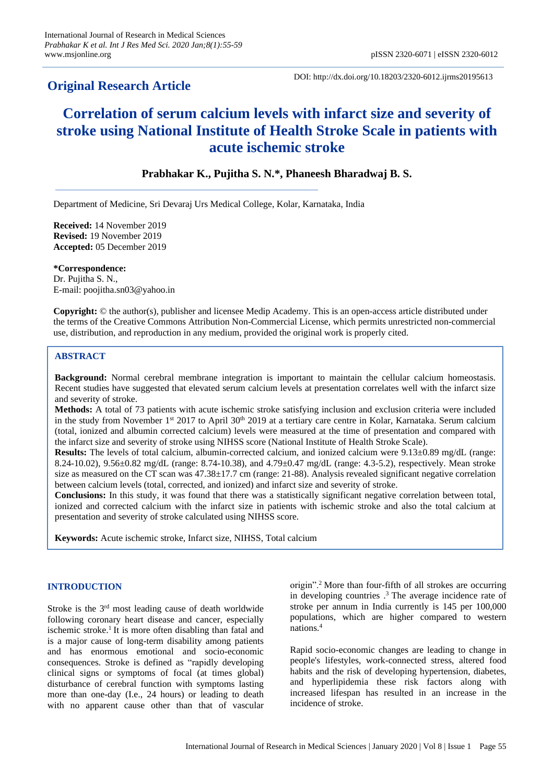# **Original Research Article**

DOI: http://dx.doi.org/10.18203/2320-6012.ijrms20195613

# **Correlation of serum calcium levels with infarct size and severity of stroke using National Institute of Health Stroke Scale in patients with acute ischemic stroke**

# **Prabhakar K., Pujitha S. N.\*, Phaneesh Bharadwaj B. S.**

Department of Medicine, Sri Devaraj Urs Medical College, Kolar, Karnataka, India

**Received:** 14 November 2019 **Revised:** 19 November 2019 **Accepted:** 05 December 2019

**\*Correspondence:** Dr. Pujitha S. N., E-mail: [poojitha.sn03@yahoo.in](mailto:poojitha.sn03@yahoo.in)

**Copyright:** © the author(s), publisher and licensee Medip Academy. This is an open-access article distributed under the terms of the Creative Commons Attribution Non-Commercial License, which permits unrestricted non-commercial use, distribution, and reproduction in any medium, provided the original work is properly cited.

# **ABSTRACT**

**Background:** Normal cerebral membrane integration is important to maintain the cellular calcium homeostasis. Recent studies have suggested that elevated serum calcium levels at presentation correlates well with the infarct size and severity of stroke.

**Methods:** A total of 73 patients with acute ischemic stroke satisfying inclusion and exclusion criteria were included in the study from November 1st 2017 to April  $30<sup>th</sup>$  2019 at a tertiary care centre in Kolar, Karnataka. Serum calcium (total, ionized and albumin corrected calcium) levels were measured at the time of presentation and compared with the infarct size and severity of stroke using NIHSS score (National Institute of Health Stroke Scale).

**Results:** The levels of total calcium, albumin-corrected calcium, and ionized calcium were 9.13±0.89 mg/dL (range: 8.24-10.02), 9.56±0.82 mg/dL (range: 8.74-10.38), and 4.79±0.47 mg/dL (range: 4.3-5.2), respectively. Mean stroke size as measured on the CT scan was 47.38±17.7 cm (range: 21-88). Analysis revealed significant negative correlation between calcium levels (total, corrected, and ionized) and infarct size and severity of stroke.

**Conclusions:** In this study, it was found that there was a statistically significant negative correlation between total, ionized and corrected calcium with the infarct size in patients with ischemic stroke and also the total calcium at presentation and severity of stroke calculated using NIHSS score.

**Keywords:** Acute ischemic stroke, Infarct size, NIHSS, Total calcium

# **INTRODUCTION**

Stroke is the 3<sup>rd</sup> most leading cause of death worldwide following coronary heart disease and cancer, especially ischemic stroke.<sup>1</sup> It is more often disabling than fatal and is a major cause of long-term disability among patients and has enormous emotional and socio-economic consequences. Stroke is defined as "rapidly developing clinical signs or symptoms of focal (at times global) disturbance of cerebral function with symptoms lasting more than one-day (I.e., 24 hours) or leading to death with no apparent cause other than that of vascular origin".<sup>2</sup> More than four-fifth of all strokes are occurring in developing countries . <sup>3</sup> The average incidence rate of stroke per annum in India currently is 145 per 100,000 populations, which are higher compared to western nations.<sup>4</sup>

Rapid socio-economic changes are leading to change in people's lifestyles, work-connected stress, altered food habits and the risk of developing hypertension, diabetes, and hyperlipidemia these risk factors along with increased lifespan has resulted in an increase in the incidence of stroke.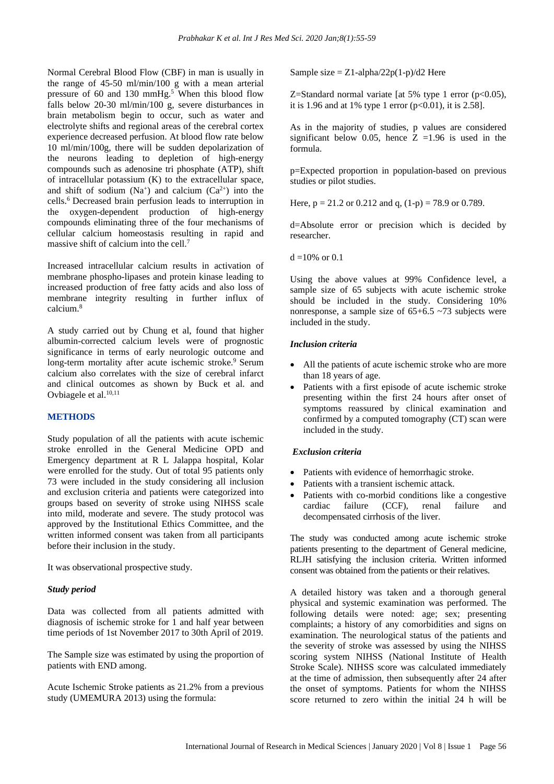Normal Cerebral Blood Flow (CBF) in man is usually in the range of 45-50 ml/min/100 g with a mean arterial pressure of 60 and 130 mmHg.<sup>5</sup> When this blood flow falls below 20-30 ml/min/100 g, severe disturbances in brain metabolism begin to occur, such as water and electrolyte shifts and regional areas of the cerebral cortex experience decreased perfusion. At blood flow rate below 10 ml/min/100g, there will be sudden depolarization of the neurons leading to depletion of high-energy compounds such as adenosine tri phosphate (ATP), shift of intracellular potassium (K) to the extracellular space, and shift of sodium (Na<sup>+</sup>) and calcium (Ca<sup>2+</sup>) into the cells.<sup>6</sup> Decreased brain perfusion leads to interruption in the oxygen-dependent production of high-energy compounds eliminating three of the four mechanisms of cellular calcium homeostasis resulting in rapid and massive shift of calcium into the cell.<sup>7</sup>

Increased intracellular calcium results in activation of membrane phospho-lipases and protein kinase leading to increased production of free fatty acids and also loss of membrane integrity resulting in further influx of calcium.<sup>8</sup>

A study carried out by Chung et al, found that higher albumin-corrected calcium levels were of prognostic significance in terms of early neurologic outcome and long-term mortality after acute ischemic stroke.<sup>9</sup> Serum calcium also correlates with the size of cerebral infarct and clinical outcomes as shown by Buck et al. and Ovbiagele et al.<sup>10,11</sup>

## **METHODS**

Study population of all the patients with acute ischemic stroke enrolled in the General Medicine OPD and Emergency department at R L Jalappa hospital, Kolar were enrolled for the study. Out of total 95 patients only 73 were included in the study considering all inclusion and exclusion criteria and patients were categorized into groups based on severity of stroke using NIHSS scale into mild, moderate and severe. The study protocol was approved by the Institutional Ethics Committee, and the written informed consent was taken from all participants before their inclusion in the study.

It was observational prospective study.

#### *Study period*

Data was collected from all patients admitted with diagnosis of ischemic stroke for 1 and half year between time periods of 1st November 2017 to 30th April of 2019.

The Sample size was estimated by using the proportion of patients with END among.

Acute Ischemic Stroke patients as 21.2% from a previous study (UMEMURA 2013) using the formula:

Sample size  $= Z1$ -alpha/22p(1-p)/d2 Here

Z=Standard normal variate [at 5% type 1 error  $(p<0.05)$ , it is 1.96 and at 1% type 1 error  $(p<0.01)$ , it is 2.58].

As in the majority of studies, p values are considered significant below 0.05, hence  $Z = 1.96$  is used in the formula.

p=Expected proportion in population-based on previous studies or pilot studies.

Here,  $p = 21.2$  or 0.212 and q,  $(1-p) = 78.9$  or 0.789.

d=Absolute error or precision which is decided by researcher.

 $d = 10\%$  or 0.1

Using the above values at 99% Confidence level, a sample size of 65 subjects with acute ischemic stroke should be included in the study. Considering 10% nonresponse, a sample size of  $65+6.5 \sim 73$  subjects were included in the study.

#### *Inclusion criteria*

- All the patients of acute ischemic stroke who are more than 18 years of age.
- Patients with a first episode of acute ischemic stroke presenting within the first 24 hours after onset of symptoms reassured by clinical examination and confirmed by a computed tomography (CT) scan were included in the study.

#### *Exclusion criteria*

- Patients with evidence of hemorrhagic stroke.
- Patients with a transient ischemic attack.
- Patients with co-morbid conditions like a congestive cardiac failure (CCF), renal failure and decompensated cirrhosis of the liver.

The study was conducted among acute ischemic stroke patients presenting to the department of General medicine, RLJH satisfying the inclusion criteria. Written informed consent was obtained from the patients or their relatives.

A detailed history was taken and a thorough general physical and systemic examination was performed. The following details were noted: age; sex; presenting complaints; a history of any comorbidities and signs on examination. The neurological status of the patients and the severity of stroke was assessed by using the NIHSS scoring system NIHSS (National Institute of Health Stroke Scale). NIHSS score was calculated immediately at the time of admission, then subsequently after 24 after the onset of symptoms. Patients for whom the NIHSS score returned to zero within the initial 24 h will be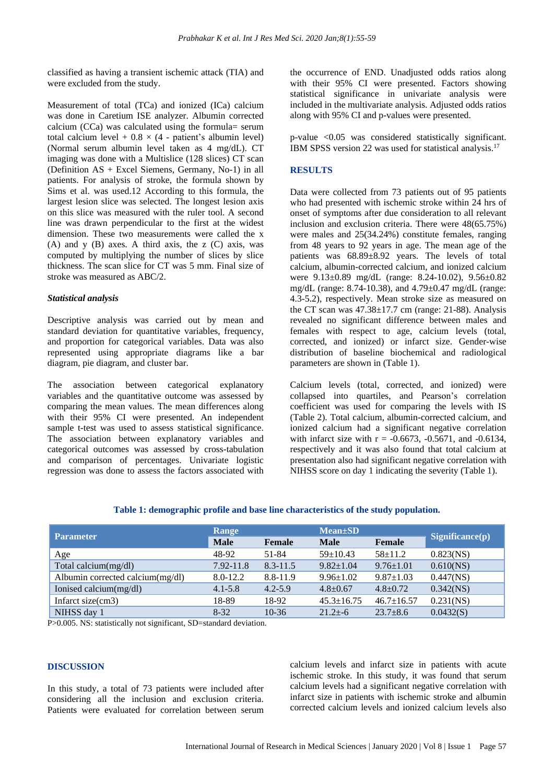classified as having a transient ischemic attack (TIA) and were excluded from the study.

Measurement of total (TCa) and ionized (ICa) calcium was done in Caretium ISE analyzer. Albumin corrected calcium (CCa) was calculated using the formula= serum total calcium level +  $0.8 \times (4 -$  patient's albumin level) (Normal serum albumin level taken as 4 mg/dL). CT imaging was done with a Multislice (128 slices) CT scan (Definition AS + Excel Siemens, Germany, No-1) in all patients. For analysis of stroke, the formula shown by Sims et al. was used.12 According to this formula, the largest lesion slice was selected. The longest lesion axis on this slice was measured with the ruler tool. A second line was drawn perpendicular to the first at the widest dimension. These two measurements were called the x (A) and y (B) axes. A third axis, the z (C) axis, was computed by multiplying the number of slices by slice thickness. The scan slice for CT was 5 mm. Final size of stroke was measured as ABC/2.

#### *Statistical analysis*

Descriptive analysis was carried out by mean and standard deviation for quantitative variables, frequency, and proportion for categorical variables. Data was also represented using appropriate diagrams like a bar diagram, pie diagram, and cluster bar.

The association between categorical explanatory variables and the quantitative outcome was assessed by comparing the mean values. The mean differences along with their 95% CI were presented. An independent sample t-test was used to assess statistical significance. The association between explanatory variables and categorical outcomes was assessed by cross-tabulation and comparison of percentages. Univariate logistic regression was done to assess the factors associated with the occurrence of END. Unadjusted odds ratios along with their 95% CI were presented. Factors showing statistical significance in univariate analysis were included in the multivariate analysis. Adjusted odds ratios along with 95% CI and p-values were presented.

p-value <0.05 was considered statistically significant. IBM SPSS version 22 was used for statistical analysis.<sup>17</sup>

## **RESULTS**

Data were collected from 73 patients out of 95 patients who had presented with ischemic stroke within 24 hrs of onset of symptoms after due consideration to all relevant inclusion and exclusion criteria. There were 48(65.75%) were males and 25(34.24%) constitute females, ranging from 48 years to 92 years in age. The mean age of the patients was 68.89±8.92 years. The levels of total calcium, albumin-corrected calcium, and ionized calcium were 9.13±0.89 mg/dL (range: 8.24-10.02), 9.56±0.82 mg/dL (range: 8.74-10.38), and 4.79±0.47 mg/dL (range: 4.3-5.2), respectively. Mean stroke size as measured on the CT scan was  $47.38 \pm 17.7$  cm (range: 21-88). Analysis revealed no significant difference between males and females with respect to age, calcium levels (total, corrected, and ionized) or infarct size. Gender-wise distribution of baseline biochemical and radiological parameters are shown in (Table 1).

Calcium levels (total, corrected, and ionized) were collapsed into quartiles, and Pearson's correlation coefficient was used for comparing the levels with IS (Table 2). Total calcium, albumin-corrected calcium, and ionized calcium had a significant negative correlation with infarct size with  $r = -0.6673$ ,  $-0.5671$ , and  $-0.6134$ , respectively and it was also found that total calcium at presentation also had significant negative correlation with NIHSS score on day 1 indicating the severity (Table 1).

| <b>Parameter</b>                 | Range        |               | <b>Mean</b> ±SD  |                  |                                     |
|----------------------------------|--------------|---------------|------------------|------------------|-------------------------------------|
|                                  | <b>Male</b>  | <b>Female</b> | <b>Male</b>      | <b>Female</b>    | $\mathbf{Significance}(\mathbf{p})$ |
| Age                              | 48-92        | 51-84         | $59 \pm 10.43$   | $58+11.2$        | 0.823(NS)                           |
| Total calcium(mg/dl)             | 7.92-11.8    | $8.3 - 11.5$  | $9.82 \pm 1.04$  | $9.76 \pm 1.01$  | $0.610$ (NS)                        |
| Albumin corrected calcium(mg/dl) | $8.0 - 12.2$ | 8.8-11.9      | $9.96 \pm 1.02$  | $9.87 \pm 1.03$  | $0.447$ (NS)                        |
| Ionised calcium(mg/dl)           | $4.1 - 5.8$  | $4.2 - 5.9$   | $4.8 \pm 0.67$   | $4.8 \pm 0.72$   | $0.342$ (NS)                        |
| Infarct size(cm3)                | 18-89        | 18-92         | $45.3 \pm 16.75$ | $46.7 \pm 16.57$ | $0.231$ (NS)                        |
| NIHSS day 1                      | $8-32$       | $10 - 36$     | $21.2 + -6$      | $23.7 \pm 8.6$   | 0.0432(S)                           |

#### **Table 1: demographic profile and base line characteristics of the study population.**

P>0.005. NS: statistically not significant, SD=standard deviation.

#### **DISCUSSION**

In this study, a total of 73 patients were included after considering all the inclusion and exclusion criteria. Patients were evaluated for correlation between serum calcium levels and infarct size in patients with acute ischemic stroke. In this study, it was found that serum calcium levels had a significant negative correlation with infarct size in patients with ischemic stroke and albumin corrected calcium levels and ionized calcium levels also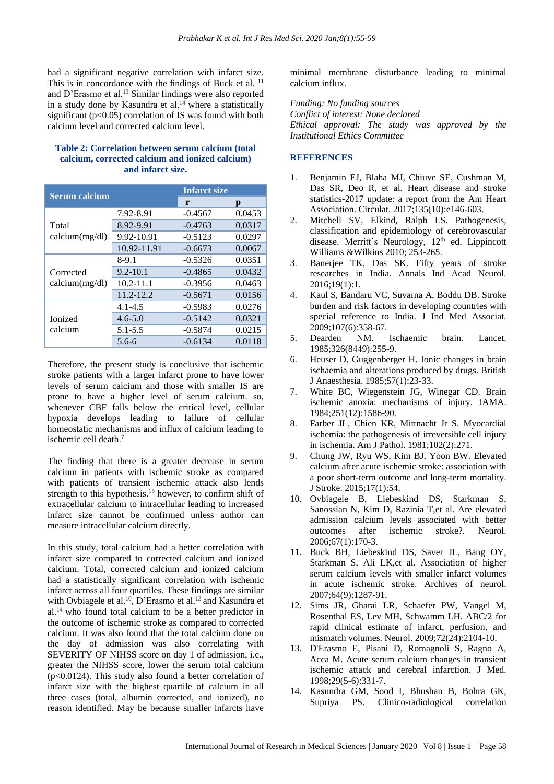had a significant negative correlation with infarct size. This is in concordance with the findings of Buck et al. <sup>11</sup> and D'Erasmo et al.<sup>13</sup> Similar findings were also reported in a study done by Kasundra et al. $14$  where a statistically significant ( $p<0.05$ ) correlation of IS was found with both calcium level and corrected calcium level.

## **Table 2: Correlation between serum calcium (total calcium, corrected calcium and ionized calcium) and infarct size.**

| <b>Serum calcium</b>        |               | <b>Infarct size</b> |        |
|-----------------------------|---------------|---------------------|--------|
|                             |               | r                   | p      |
| Total<br>calcium(mg/dl)     | 7.92-8.91     | $-0.4567$           | 0.0453 |
|                             | 8.92-9.91     | $-0.4763$           | 0.0317 |
|                             | 9.92-10.91    | $-0.5123$           | 0.0297 |
|                             | 10.92-11.91   | $-0.6673$           | 0.0067 |
| Corrected<br>calcium(mg/dl) | $8-9.1$       | $-0.5326$           | 0.0351 |
|                             | $9.2 - 10.1$  | $-0.4865$           | 0.0432 |
|                             | $10.2 - 11.1$ | $-0.3956$           | 0.0463 |
|                             | $11.2 - 12.2$ | $-0.5671$           | 0.0156 |
| <b>Ionized</b><br>calcium   | $4.1 - 4.5$   | $-0.5983$           | 0.0276 |
|                             | $4.6 - 5.0$   | $-0.5142$           | 0.0321 |
|                             | $5.1 - 5.5$   | $-0.5874$           | 0.0215 |
|                             | $5.6-6$       | $-0.6134$           | 0.0118 |

Therefore, the present study is conclusive that ischemic stroke patients with a larger infarct prone to have lower levels of serum calcium and those with smaller IS are prone to have a higher level of serum calcium. so, whenever CBF falls below the critical level, cellular hypoxia develops leading to failure of cellular homeostatic mechanisms and influx of calcium leading to ischemic cell death.<sup>7</sup>

The finding that there is a greater decrease in serum calcium in patients with ischemic stroke as compared with patients of transient ischemic attack also lends strength to this hypothesis.<sup>15</sup> however, to confirm shift of extracellular calcium to intracellular leading to increased infarct size cannot be confirmed unless author can measure intracellular calcium directly.

In this study, total calcium had a better correlation with infarct size compared to corrected calcium and ionized calcium. Total, corrected calcium and ionized calcium had a statistically significant correlation with ischemic infarct across all four quartiles. These findings are similar with Ovbiagele et al.<sup>10</sup>, D'Erasmo et al.<sup>13</sup> and Kasundra et  $al.14$  who found total calcium to be a better predictor in the outcome of ischemic stroke as compared to corrected calcium. It was also found that the total calcium done on the day of admission was also correlating with SEVERITY OF NIHSS score on day 1 of admission, i.e., greater the NIHSS score, lower the serum total calcium (p<0.0124). This study also found a better correlation of infarct size with the highest quartile of calcium in all three cases (total, albumin corrected, and ionized), no reason identified. May be because smaller infarcts have minimal membrane disturbance leading to minimal calcium influx.

*Funding: No funding sources Conflict of interest: None declared Ethical approval: The study was approved by the Institutional Ethics Committee*

## **REFERENCES**

- 1. Benjamin EJ, Blaha MJ, Chiuve SE, Cushman M, Das SR, Deo R, et al. Heart disease and stroke statistics-2017 update: a report from the Am Heart Association. Circulat. 2017;135(10):e146-603.
- 2. Mitchell SV, Elkind, Ralph LS. Pathogenesis, classification and epidemiology of cerebrovascular disease. Merritt's Neurology, 12<sup>th</sup> ed. Lippincott Williams &Wilkins 2010; 253-265.
- 3. Banerjee TK, Das SK. Fifty years of stroke researches in India. Annals Ind Acad Neurol. 2016;19(1):1.
- 4. Kaul S, Bandaru VC, Suvarna A, Boddu DB. Stroke burden and risk factors in developing countries with special reference to India. J Ind Med Associat. 2009;107(6):358-67.
- 5. Dearden NM. Ischaemic brain. Lancet. 1985;326(8449):255-9.
- 6. Heuser D, Guggenberger H. Ionic changes in brain ischaemia and alterations produced by drugs. British J Anaesthesia. 1985;57(1):23-33.
- 7. White BC, Wiegenstein JG, Winegar CD. Brain ischemic anoxia: mechanisms of injury. JAMA. 1984;251(12):1586-90.
- 8. Farber JL, Chien KR, Mittnacht Jr S. Myocardial ischemia: the pathogenesis of irreversible cell injury in ischemia. Am J Pathol. 1981;102(2):271.
- 9. Chung JW, Ryu WS, Kim BJ, Yoon BW. Elevated calcium after acute ischemic stroke: association with a poor short-term outcome and long-term mortality. J Stroke. 2015;17(1):54.
- 10. Ovbiagele B, Liebeskind DS, Starkman S, Sanossian N, Kim D, Razinia T,et al. Are elevated admission calcium levels associated with better outcomes after ischemic stroke?. Neurol. 2006;67(1):170-3.
- 11. Buck BH, Liebeskind DS, Saver JL, Bang OY, Starkman S, Ali LK,et al. Association of higher serum calcium levels with smaller infarct volumes in acute ischemic stroke. Archives of neurol. 2007;64(9):1287-91.
- 12. Sims JR, Gharai LR, Schaefer PW, Vangel M, Rosenthal ES, Lev MH, Schwamm LH. ABC/2 for rapid clinical estimate of infarct, perfusion, and mismatch volumes. Neurol. 2009;72(24):2104-10.
- 13. D'Erasmo E, Pisani D, Romagnoli S, Ragno A, Acca M. Acute serum calcium changes in transient ischemic attack and cerebral infarction. J Med. 1998;29(5-6):331-7.
- 14. Kasundra GM, Sood I, Bhushan B, Bohra GK, Supriya PS. Clinico-radiological correlation